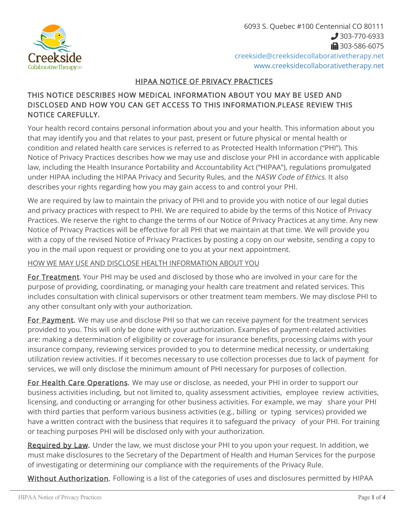

6093 S. Quebec #100 Centennial CO 80111 303-770-6933 1303-586-6075 [creekside@creeksidecollaborativetherapy.net](mailto:creekside@creeksidecollaborativetherapy.net) [www.creeksidecollaborativetherapy.net](http://www.creeksidecollaborativetherapy.net)

## HIPAA NOTICE OF PRIVACY PRACTICES

## THIS NOTICE DESCRIBES HOW MEDICAL INFORMATION ABOUT YOU MAY BE USED AND DISCLOSED AND HOW YOU CAN GET ACCESS TO THIS INFORMATION.PLEASE REVIEW THIS NOTICE CAREFULLY.

Your health record contains personal information about you and your health. This information about you that may identify you and that relates to your past, present or future physical or mental health or condition and related health care services is referred to as Protected Health Information ("PHI"). This Notice of Privacy Practices describes how we may use and disclose your PHI in accordance with applicable law, including the Health Insurance Portability and Accountability Act ("HIPAA"), regulations promulgated under HIPAA including the HIPAA Privacy and Security Rules, and the NASW Code of Ethics. It also describes your rights regarding how you may gain access to and control your PHI.

We are required by law to maintain the privacy of PHI and to provide you with notice of our legal duties and privacy practices with respect to PHI. We are required to abide by the terms of this Notice of Privacy Practices. We reserve the right to change the terms of our Notice of Privacy Practices at any time. Any new Notice of Privacy Practices will be effective for all PHI that we maintain at that time. We will provide you with a copy of the revised Notice of Privacy Practices by posting a copy on our website, sending a copy to you in the mail upon request or providing one to you at your next appointment.

## HOW WE MAY USE AND DISCLOSE HEALTH INFORMATION ABOUT YOU

For Treatment. Your PHI may be used and disclosed by those who are involved in your care for the purpose of providing, coordinating, or managing your health care treatment and related services. This includes consultation with clinical supervisors or other treatment team members. We may disclose PHI to any other consultant only with your authorization.

For Payment. We may use and disclose PHI so that we can receive payment for the treatment services provided to you. This will only be done with your authorization. Examples of payment-related activities are: making a determination of eligibility or coverage for insurance benefits, processing claims with your insurance company, reviewing services provided to you to determine medical necessity, or undertaking utilization review activities. If it becomes necessary to use collection processes due to lack of payment for services, we will only disclose the minimum amount of PHI necessary for purposes of collection.

For Health Care Operations. We may use or disclose, as needed, your PHI in order to support our business activities including, but not limited to, quality assessment activities, employee review activities, licensing, and conducting or arranging for other business activities. For example, we may share your PHI with third parties that perform various business activities (e.g., billing or typing services) provided we have a written contract with the business that requires it to safeguard the privacy of your PHI. For training or teaching purposes PHI will be disclosed only with your authorization.

Required by Law. Under the law, we must disclose your PHI to you upon your request. In addition, we must make disclosures to the Secretary of the Department of Health and Human Services for the purpose of investigating or determining our compliance with the requirements of the Privacy Rule.

Without Authorization. Following is a list of the categories of uses and disclosures permitted by HIPAA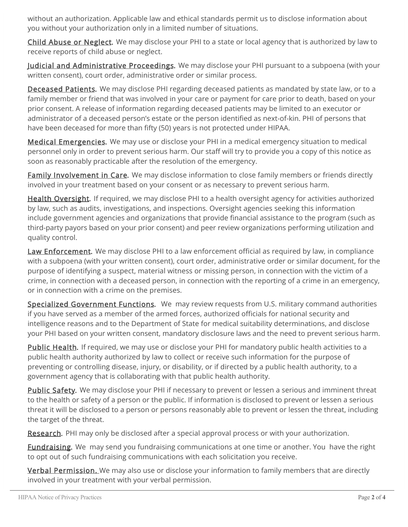without an authorization. Applicable law and ethical standards permit us to disclose information about you without your authorization only in a limited number of situations.

Child Abuse or Neglect. We may disclose your PHI to a state or local agency that is authorized by law to receive reports of child abuse or neglect.

Judicial and Administrative Proceedings. We may disclose your PHI pursuant to a subpoena (with your written consent), court order, administrative order or similar process.

Deceased Patients. We may disclose PHI regarding deceased patients as mandated by state law, or to a family member or friend that was involved in your care or payment for care prior to death, based on your prior consent. A release of information regarding deceased patients may be limited to an executor or administrator of a deceased person's estate or the person identified as next-of-kin. PHI of persons that have been deceased for more than fifty (50) years is not protected under HIPAA.

Medical Emergencies. We may use or disclose your PHI in a medical emergency situation to medical personnel only in order to prevent serious harm. Our staff will try to provide you a copy of this notice as soon as reasonably practicable after the resolution of the emergency.

Family Involvement in Care. We may disclose information to close family members or friends directly involved in your treatment based on your consent or as necessary to prevent serious harm.

Health Oversight. If required, we may disclose PHI to a health oversight agency for activities authorized by law, such as audits, investigations, and inspections. Oversight agencies seeking this information include government agencies and organizations that provide financial assistance to the program (such as third-party payors based on your prior consent) and peer review organizations performing utilization and quality control.

Law Enforcement. We may disclose PHI to a law enforcement official as required by law, in compliance with a subpoena (with your written consent), court order, administrative order or similar document, for the purpose of identifying a suspect, material witness or missing person, in connection with the victim of a crime, in connection with a deceased person, in connection with the reporting of a crime in an emergency, or in connection with a crime on the premises.

Specialized Government Functions. We may review requests from U.S. military command authorities if you have served as a member of the armed forces, authorized officials for national security and intelligence reasons and to the Department of State for medical suitability determinations, and disclose your PHI based on your written consent, mandatory disclosure laws and the need to prevent serious harm.

Public Health. If required, we may use or disclose your PHI for mandatory public health activities to a public health authority authorized by law to collect or receive such information for the purpose of preventing or controlling disease, injury, or disability, or if directed by a public health authority, to a government agency that is collaborating with that public health authority.

Public Safety. We may disclose your PHI if necessary to prevent or lessen a serious and imminent threat to the health or safety of a person or the public. If information is disclosed to prevent or lessen a serious threat it will be disclosed to a person or persons reasonably able to prevent or lessen the threat, including the target of the threat.

Research. PHI may only be disclosed after a special approval process or with your authorization.

Fundraising. We may send you fundraising communications at one time or another. You have the right to opt out of such fundraising communications with each solicitation you receive.

**Verbal Permission.** We may also use or disclose your information to family members that are directly involved in your treatment with your verbal permission.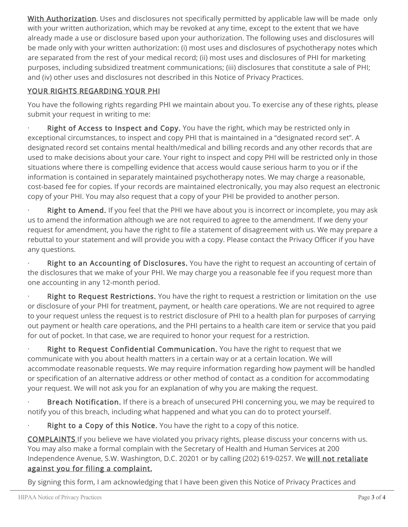With Authorization. Uses and disclosures not specifically permitted by applicable law will be made only with your written authorization, which may be revoked at any time, except to the extent that we have already made a use or disclosure based upon your authorization. The following uses and disclosures will be made only with your written authorization: (i) most uses and disclosures of psychotherapy notes which are separated from the rest of your medical record; (ii) most uses and disclosures of PHI for marketing purposes, including subsidized treatment communications; (iii) disclosures that constitute a sale of PHI; and (iv) other uses and disclosures not described in this Notice of Privacy Practices.

## YOUR RIGHTS REGARDING YOUR PHI

You have the following rights regarding PHI we maintain about you. To exercise any of these rights, please submit your request in writing to me:

Right of Access to Inspect and Copy. You have the right, which may be restricted only in exceptional circumstances, to inspect and copy PHI that is maintained in a "designated record set". A designated record set contains mental health/medical and billing records and any other records that are used to make decisions about your care. Your right to inspect and copy PHI will be restricted only in those situations where there is compelling evidence that access would cause serious harm to you or if the information is contained in separately maintained psychotherapy notes. We may charge a reasonable, cost-based fee for copies. If your records are maintained electronically, you may also request an electronic copy of your PHI. You may also request that a copy of your PHI be provided to another person.

Right to Amend. If you feel that the PHI we have about you is incorrect or incomplete, you may ask us to amend the information although we are not required to agree to the amendment. If we deny your request for amendment, you have the right to file a statement of disagreement with us. We may prepare a rebuttal to your statement and will provide you with a copy. Please contact the Privacy Officer if you have any questions.

Right to an Accounting of Disclosures. You have the right to request an accounting of certain of the disclosures that we make of your PHI. We may charge you a reasonable fee if you request more than one accounting in any 12-month period.

Right to Request Restrictions. You have the right to request a restriction or limitation on the use or disclosure of your PHI for treatment, payment, or health care operations. We are not required to agree to your request unless the request is to restrict disclosure of PHI to a health plan for purposes of carrying out payment or health care operations, and the PHI pertains to a health care item or service that you paid for out of pocket. In that case, we are required to honor your request for a restriction.

Right to Request Confidential Communication. You have the right to request that we communicate with you about health matters in a certain way or at a certain location. We will accommodate reasonable requests. We may require information regarding how payment will be handled or specification of an alternative address or other method of contact as a condition for accommodating your request. We will not ask you for an explanation of why you are making the request.

Breach Notification. If there is a breach of unsecured PHI concerning you, we may be required to notify you of this breach, including what happened and what you can do to protect yourself.

Right to a Copy of this Notice. You have the right to a copy of this notice.

COMPLAINTS If you believe we have violated you privacy rights, please discuss your concerns with us. You may also make a formal complain with the Secretary of Health and Human Services at 200 Independence Avenue, S.W. Washington, D.C. 20201 or by calling (202) 619-0257. We will not retaliate against you for filing a complaint.

By signing this form, I am acknowledging that I have been given this Notice of Privacy Practices and